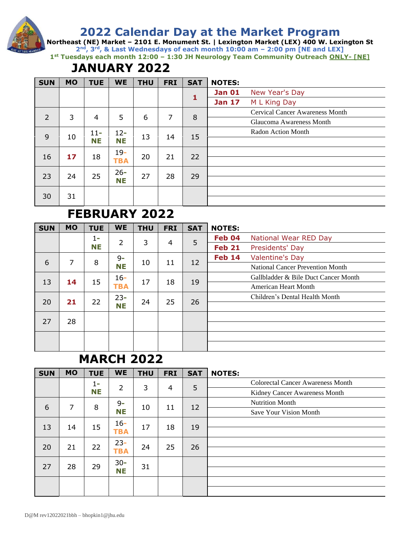**Northeast (NE) Market – 2101 E. Monument St. | Lexington Market (LEX) 400 W. Lexington St 2nd, 3rd, & Last Wednesdays of each month 10:00 am – 2:00 pm [NE and LEX] 1st Tuesdays each month 12:00 – 1:30 JH Neurology Team Community Outreach ONLY- [NE]**

# **JANUARY 2022**

| <b>SUN</b> | <b>MO</b> | <b>TUE</b> | <b>WE</b>  | <b>THU</b> | <b>FRI</b> | <b>SAT</b> | <b>NOTES:</b> |                                        |
|------------|-----------|------------|------------|------------|------------|------------|---------------|----------------------------------------|
|            |           |            |            |            |            |            | <b>Jan 01</b> | New Year's Day                         |
|            |           |            |            |            |            | 1          | <b>Jan 17</b> | M L King Day                           |
| 2          | 3         | 4          | 5          | 6          | 7          | 8          |               | <b>Cervical Cancer Awareness Month</b> |
|            |           |            |            |            |            |            |               | Glaucoma Awareness Month               |
| 9          | 10        | $11 -$     | $12 -$     | 13         |            |            |               | Radon Action Month                     |
|            |           | <b>NE</b>  | <b>NE</b>  |            | 14         | 15         |               |                                        |
| 16         | 17        |            | $19-$      | 20         | 21         | 22         |               |                                        |
|            |           | 18         | <b>TBA</b> |            |            |            |               |                                        |
| 23         | 24        | 25         | $26 -$     | 27         | 28         | 29         |               |                                        |
|            |           |            | NΕ         |            |            |            |               |                                        |
|            |           |            |            |            |            |            |               |                                        |
| 30         | 31        |            |            |            |            |            |               |                                        |

# **FEBRUARY 2022**

| <b>SUN</b> | <b>MO</b> | <b>TUE</b> | <b>WE</b>      | <b>THU</b> | <b>FRI</b> | <b>SAT</b> | <b>NOTES:</b> |                                         |
|------------|-----------|------------|----------------|------------|------------|------------|---------------|-----------------------------------------|
|            |           | 1-         | $\overline{2}$ | 3          | 4          | 5          | Feb 04        | National Wear RED Day                   |
|            |           | <b>NE</b>  |                |            |            |            | <b>Feb 21</b> | Presidents' Day                         |
| 6          | 7         | 8          | $9 -$          | 10         | 11         | 12         | <b>Feb 14</b> | <b>Valentine's Day</b>                  |
|            |           |            | NΕ             |            |            |            |               | <b>National Cancer Prevention Month</b> |
| 13         | 14        | 15         | $16 -$         | 17         | 18         |            |               | Gallbladder & Bile Duct Cancer Month    |
|            |           |            | <b>TBA</b>     |            |            | 19         |               | <b>American Heart Month</b>             |
| 20         | 21        | 22         | $23 -$         | 24         | 25         | 26         |               | Children's Dental Health Month          |
|            |           |            | NΕ             |            |            |            |               |                                         |
| 27         | 28        |            |                |            |            |            |               |                                         |
|            |           |            |                |            |            |            |               |                                         |
|            |           |            |                |            |            |            |               |                                         |
|            |           |            |                |            |            |            |               |                                         |

## **MARCH 2022**

| <b>SUN</b> | <b>MO</b> | <b>TUE</b> | <b>WE</b>      | <b>THU</b> | <b>FRI</b> | <b>SAT</b> | <b>NOTES:</b>                            |
|------------|-----------|------------|----------------|------------|------------|------------|------------------------------------------|
|            |           | 1-         | $\overline{2}$ | 3          | 4          | 5          | <b>Colorectal Cancer Awareness Month</b> |
|            |           | <b>NE</b>  |                |            |            |            | Kidney Cancer Awareness Month            |
| 6          | 7         | 8          | $9 -$          | 10         | 11         | 12         | <b>Nutrition Month</b>                   |
|            |           |            | <b>NE</b>      |            |            |            | Save Your Vision Month                   |
|            |           |            | $16 -$         |            |            |            |                                          |
| 13         | 14        | 15         | <b>TBA</b>     | 17         | 18         | 19         |                                          |
| 20         | 21        | 22         | $23 -$         | 24         | 25         | 26         |                                          |
|            |           |            | <b>TBA</b>     |            |            |            |                                          |
| 27         | 28        | 29         | $30 -$         | 31         |            |            |                                          |
|            |           |            | <b>NE</b>      |            |            |            |                                          |
|            |           |            |                |            |            |            |                                          |
|            |           |            |                |            |            |            |                                          |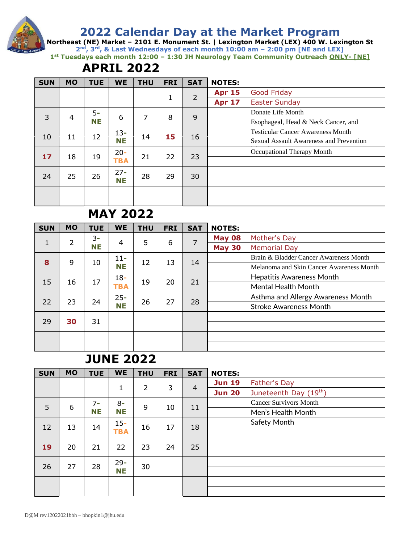**Northeast (NE) Market – 2101 E. Monument St. | Lexington Market (LEX) 400 W. Lexington St 2nd, 3rd, & Last Wednesdays of each month 10:00 am – 2:00 pm [NE and LEX] 1st Tuesdays each month 12:00 – 1:30 JH Neurology Team Community Outreach ONLY- [NE]**

# **APRIL 2022**

| <b>SUN</b> | <b>MO</b> | <b>TUE</b> | <b>WE</b>  | <b>THU</b> | <b>FRI</b> | <b>SAT</b>     | <b>NOTES:</b> |                                          |
|------------|-----------|------------|------------|------------|------------|----------------|---------------|------------------------------------------|
|            |           |            |            |            |            | $\overline{2}$ | <b>Apr 15</b> | <b>Good Friday</b>                       |
|            |           |            |            |            | 1          |                | <b>Apr 17</b> | <b>Easter Sunday</b>                     |
| 3          |           | $5-$       | 6          | 7          | 8          | 9              |               | Donate Life Month                        |
|            | 4         | <b>NE</b>  |            |            |            |                |               | Esophageal, Head & Neck Cancer, and      |
|            |           |            | $13 -$     |            |            |                |               | <b>Testicular Cancer Awareness Month</b> |
| 10         | 11        | 12         | <b>NE</b>  | 14         | 15         | 16             |               | Sexual Assault Awareness and Prevention  |
|            |           |            | $20 -$     |            |            |                |               | Occupational Therapy Month               |
| 17         | 18        | 19         | <b>TBA</b> | 21         | 22         | 23             |               |                                          |
|            |           |            | $27 -$     |            |            |                |               |                                          |
| 24         | 25        | 26         | NΕ         | 28         | 29         | 30             |               |                                          |
|            |           |            |            |            |            |                |               |                                          |
|            |           |            |            |            |            |                |               |                                          |

# **MAY 2022**

| <b>SUN</b> | <b>MO</b> | <b>TUE</b> | <b>WE</b>  | <b>THU</b> | <b>FRI</b> | <b>SAT</b> | <b>NOTES:</b> |                                          |
|------------|-----------|------------|------------|------------|------------|------------|---------------|------------------------------------------|
|            | 2         | $3-$       |            | 5          | 6          | 7          | <b>May 08</b> | Mother's Day                             |
| 1          |           | NΕ         | 4          |            |            |            | <b>May 30</b> | <b>Memorial Day</b>                      |
| 8          | 9         |            | $11 -$     | 12         | 13         |            |               | Brain & Bladder Cancer Awareness Month   |
|            |           | 10         | NΕ         |            |            | 14         |               | Melanoma and Skin Cancer Awareness Month |
| 15         | 16        | 17         | $18-$      | 19         | 20         | 21         |               | <b>Hepatitis Awareness Month</b>         |
|            |           |            | <b>TBA</b> |            |            |            |               | <b>Mental Health Month</b>               |
| 22         | 23        | 24         | $25 -$     | 26         | 27         |            |               | Asthma and Allergy Awareness Month       |
|            |           |            | NΕ         |            |            | 28         |               | <b>Stroke Awareness Month</b>            |
| 29         | 30        | 31         |            |            |            |            |               |                                          |
|            |           |            |            |            |            |            |               |                                          |
|            |           |            |            |            |            |            |               |                                          |
|            |           |            |            |            |            |            |               |                                          |

#### **JUNE 2022**

| <b>SUN</b> | <b>MO</b> | <b>TUE</b> | <b>WE</b>  | <b>THU</b>     | <b>FRI</b> | <b>SAT</b> | <b>NOTES:</b> |                                    |
|------------|-----------|------------|------------|----------------|------------|------------|---------------|------------------------------------|
|            |           |            | 1          | $\overline{2}$ | 3          |            | <b>Jun 19</b> | Father's Day                       |
|            |           |            |            |                |            | 4          | <b>Jun 20</b> | Juneteenth Day (19 <sup>th</sup> ) |
| 5          | 6         | $7 -$      | $8-$       | 9              |            |            |               | <b>Cancer Survivors Month</b>      |
|            |           | <b>NE</b>  | <b>NE</b>  |                | 10         | 11         |               | Men's Health Month                 |
|            |           |            | $15 -$     | 16             |            |            |               | Safety Month                       |
| 12         | 13        | 14         | <b>TBA</b> |                | 17         | 18         |               |                                    |
| 19         | 20        | 21         | 22         | 23             | 24         | 25         |               |                                    |
|            |           |            |            |                |            |            |               |                                    |
|            | 27        | 28         | $29 -$     | 30             |            |            |               |                                    |
| 26         |           |            | <b>NE</b>  |                |            |            |               |                                    |
|            |           |            |            |                |            |            |               |                                    |
|            |           |            |            |                |            |            |               |                                    |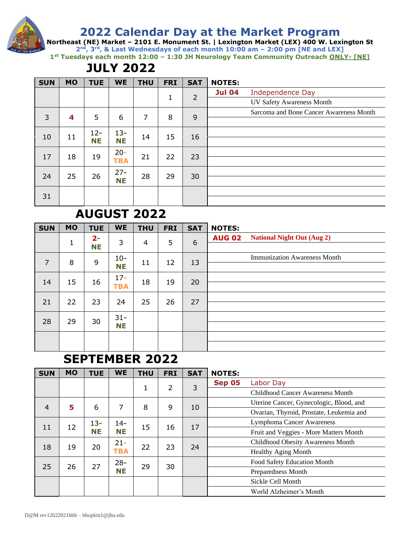**Northeast (NE) Market – 2101 E. Monument St. | Lexington Market (LEX) 400 W. Lexington St 2nd, 3rd, & Last Wednesdays of each month 10:00 am – 2:00 pm [NE and LEX] 1st Tuesdays each month 12:00 – 1:30 JH Neurology Team Community Outreach ONLY- [NE]**

# **JULY 2022**

| <b>SUN</b> | <b>MO</b> | <b>TUE</b> | <b>WE</b>  | <b>THU</b> | <b>FRI</b> | <b>SAT</b>     | <b>NOTES:</b> |                                         |
|------------|-----------|------------|------------|------------|------------|----------------|---------------|-----------------------------------------|
|            |           |            |            |            |            | $\overline{2}$ | <b>Jul 04</b> | Independence Day                        |
|            |           |            |            |            | 1          |                |               | <b>UV Safety Awareness Month</b>        |
| 3          |           | 5          | 6          | 7          | 8          | 9              |               | Sarcoma and Bone Cancer Awareness Month |
|            | 4         |            |            |            |            |                |               |                                         |
|            |           | $12 -$     | $13 -$     |            |            |                |               |                                         |
| 10         | 11        | <b>NE</b>  | <b>NE</b>  | 14         | 15         | 16             |               |                                         |
| 17         |           |            | $20 -$     | 21         | 22         |                |               |                                         |
|            | 18        | 19         | <b>TBA</b> |            |            | 23             |               |                                         |
| 24         | 25        | 26         | $27 -$     | 28         | 29         |                |               |                                         |
|            |           |            | <b>NE</b>  |            |            | 30             |               |                                         |
|            |           |            |            |            |            |                |               |                                         |
| 31         |           |            |            |            |            |                |               |                                         |

# **AUGUST 2022**

| <b>SUN</b>     | <b>MO</b> | <b>TUE</b>         | <b>WE</b>            | <b>THU</b>     | <b>FRI</b> | <b>SAT</b> | <b>NOTES:</b>                                      |
|----------------|-----------|--------------------|----------------------|----------------|------------|------------|----------------------------------------------------|
|                | 1         | $2 -$<br><b>NE</b> | 3                    | $\overline{4}$ | 5          | 6          | <b>National Night Out (Aug 2)</b><br><b>AUG 02</b> |
| $\overline{7}$ | 8         | 9                  | $10 -$<br><b>NE</b>  | 11             | 12         | 13         | <b>Immunization Awareness Month</b>                |
| 14             | 15        | 16                 | $17 -$<br><b>TBA</b> | 18             | 19         | 20         |                                                    |
| 21             | 22        | 23                 | 24                   | 25             | 26         | 27         |                                                    |
| 28             | 29        | 30                 | $31 -$<br><b>NE</b>  |                |            |            |                                                    |
|                |           |                    |                      |                |            |            |                                                    |

## **SEPTEMBER 2022**

| <b>SUN</b>     | <b>MO</b> | <b>TUE</b> | <b>WE</b>  | <b>THU</b> | <b>FRI</b> | <b>SAT</b> | <b>NOTES:</b> |                                          |
|----------------|-----------|------------|------------|------------|------------|------------|---------------|------------------------------------------|
|                |           |            |            |            | 2          | 3          | <b>Sep 05</b> | Labor Day                                |
|                |           |            |            | 1          |            |            |               | <b>Childhood Cancer Awareness Month</b>  |
| $\overline{4}$ | 5         | 6          | 7          | 8          | 9          |            |               | Uterine Cancer, Gynecologic, Blood, and  |
|                |           |            |            |            |            | 10         |               | Ovarian, Thyroid, Prostate, Leukemia and |
|                |           | $13 -$     | $14 -$     |            |            |            |               | <b>Lymphoma Cancer Awareness</b>         |
| 11             | 12        | NΕ         | NΕ         | 15         | 16         | 17         |               | Fruit and Veggies - More Matters Month   |
| 18             |           | 20         | $21 -$     | 22         | 23         | 24         |               | Childhood Obesity Awareness Month        |
|                | 19        |            | <b>TBA</b> |            |            |            |               | <b>Healthy Aging Month</b>               |
|                |           |            | $28 -$     |            |            |            |               | Food Safety Education Month              |
| 25             | 26        | 27         | NΕ         | 29         | 30         |            |               | Preparedness Month                       |
|                |           |            |            |            |            |            |               | Sickle Cell Month                        |
|                |           |            |            |            |            |            |               | World Alzheimer's Month                  |